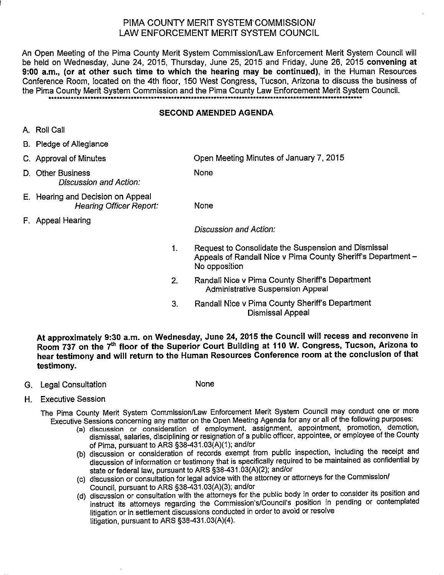# PIMA COUNTY MERIT SYSTEM COMMISSION/ LAW ENFORCEMENT MERIT SYSTEM COUNCIL

An Open Meeting of the Pima County Merit System Commission/Law Enforcement Merit System Council will be held on Wednesday, June 24, 2015, Thursday, June 25, 2015 and Friday, June 26, 2015 convening at 9:00 a.m., (or at other such time to which the hearing may be continued), in the Human Resources Conference Room, located on the 4th floor, 150 West Congress, Tucson, Arizona to discuss the business of the Pima County Merit System Commission and the Pima County Law Enforcement Merit System Council.

### **SECOND AMENDED AGENDA**

- A. Roll Call
- B. Pledge of Allegiance
- C. Approval of Minutes
- D. Other Business Discussion and Action:
- E. Hearing and Decision on Appeal **Hearing Officer Report:**
- F. Appeal Hearing

Open Meeting Minutes of January 7, 2015

None

**None** 

Discussion and Action:

- Request to Consolidate the Suspension and Dismissal  $1<sub>1</sub>$ Appeals of Randall Nice v Pima County Sheriff's Department -No opposition
- Randall Nice v Pima County Sheriff's Department  $2.$ **Administrative Suspension Appeal**
- Randall Nice v Pima County Sheriff's Department  $3<sub>1</sub>$ Dismissal Appeal

At approximately 9:30 a.m. on Wednesday, June 24, 2015 the Council will recess and reconvene in Room 737 on the 7<sup>th</sup> floor of the Superior Court Building at 110 W. Congress, Tucson, Arizona to hear testimony and will return to the Human Resources Conference room at the conclusion of that testimony.

G. Legal Consultation

None

H. Executive Session

The Pima County Merit System Commission/Law Enforcement Merit System Council may conduct one or more Executive Sessions concerning any matter on the Open Meeting Agenda for any or all of the following purposes:

- (a) discussion or consideration of employment, assignment, appointment, promotion, demotion, dismissal, salaries, disciplining or resignation of a public officer, appointee, or employee of the County of Pima, pursuant to ARS §38-431.03(A)(1); and/or
- (b) discussion or consideration of records exempt from public inspection, including the receipt and discussion of information or testimony that is specifically required to be maintained as confidential by state or federal law, pursuant to ARS \$38-431.03(A)(2); and/or
- (c) discussion or consultation for legal advice with the attorney or attorneys for the Commission/ Council, pursuant to ARS §38-431.03(A)(3); and/or
- (d) discussion or consultation with the attorneys for the public body in order to consider its position and instruct its attorneys regarding the Commission's/Council's position in pending or contemplated litigation or in settlement discussions conducted in order to avoid or resolve litigation, pursuant to ARS §38-431.03(A)(4).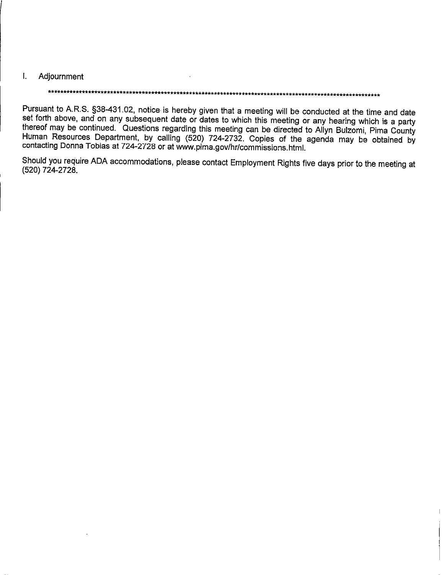#### $\mathbf{L}$ Adjournment

## \*\*\*\*\*\*\*\*\*\*\*\*\*\*\*\*\*\*\*\*\*\*\*\*\*\*\*\*\*\*\*\*\*\*\*\*\*

Pursuant to A.R.S. §38-431.02, notice is hereby given that a meeting will be conducted at the time and date set forth above, and on any subsequent date or dates to which this meeting or any hearing which is a party thereof may be continued. Questions regarding this meeting can be directed to Allyn Bulzomi, Pima County Human Resources Department, by calling (520) 724-2732. Copies of the agenda may be obtained by contacting Donna Tobias at 724-2728 or at www.pima.gov/hr/commissions.html.

Should you require ADA accommodations, please contact Employment Rights five days prior to the meeting at (520) 724-2728.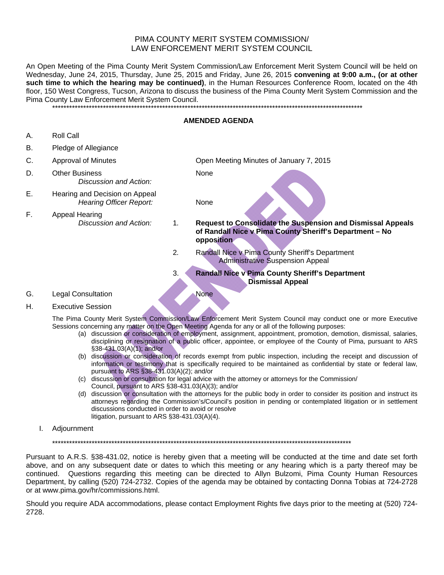### PIMA COUNTY MERIT SYSTEM COMMISSION/ LAW ENFORCEMENT MERIT SYSTEM COUNCIL

An Open Meeting of the Pima County Merit System Commission/Law Enforcement Merit System Council will be held on Wednesday, June 24, 2015, Thursday, June 25, 2015 and Friday, June 26, 2015 **convening at 9:00 a.m., (or at other such time to which the hearing may be continued)**, in the Human Resources Conference Room, located on the 4th floor, 150 West Congress, Tucson, Arizona to discuss the business of the Pima County Merit System Commission and the Pima County Law Enforcement Merit System Council.

\*\*\*\*\*\*\*\*\*\*\*\*\*\*\*\*\*\*\*\*\*\*\*\*\*\*\*\*\*\*\*\*\*\*\*\*\*\*\*\*\*\*\*\*\*\*\*\*\*\*\*\*\*\*\*\*\*\*\*\*\*\*\*\*\*\*\*\*\*\*\*\*\*\*\*\*\*\*\*\*\*\*\*\*\*\*\*\*\*\*\*\*\*\*\*\*\*\*\*\*\*\*\*\*\*\*\*\*\*\*

#### **AMENDED AGENDA**

- A. Roll Call
- B. Pledge of Allegiance
- 
- D. Other Business None *Discussion and Action:*
- E. Hearing and Decision on Appeal *Hearing Officer Report:* None
- F. Appeal Hearing

C. Approval of Minutes Open Meeting Minutes of January 7, 2015

- *Discussion and Action:* 1*.* **Request to Consolidate the Suspension and Dismissal Appeals of Randall Nice v Pima County Sheriff's Department – No opposition** 
	- 2*.* Randall Nice v Pima County Sheriff's Department Administrative Suspension Appeal
	- 3. **Randall Nice v Pima County Sheriff's Department Dismissal Appeal**

G. Legal Consultation None

- 
- H. Executive Session

The Pima County Merit System Commission/Law Enforcement Merit System Council may conduct one or more Executive Sessions concerning any matter on the Open Meeting Agenda for any or all of the following purposes:

- (a) discussion or consideration of employment, assignment, appointment, promotion, demotion, dismissal, salaries, disciplining or resignation of a public officer, appointee, or employee of the County of Pima, pursuant to ARS §38-431.03(A)(1); and/or
- (b) discussion or consideration of records exempt from public inspection, including the receipt and discussion of information or testimony that is specifically required to be maintained as confidential by state or federal law, pursuant to ARS §38-431.03(A)(2); and/or
- (c) discussion or consultation for legal advice with the attorney or attorneys for the Commission/ Council, pursuant to ARS §38-431.03(A)(3); and/or
- (d) discussion or consultation with the attorneys for the public body in order to consider its position and instruct its attorneys regarding the Commission's/Council's position in pending or contemplated litigation or in settlement discussions conducted in order to avoid or resolve litigation, pursuant to ARS §38-431.03(A)(4).
- I. Adjournment

\*\*\*\*\*\*\*\*\*\*\*\*\*\*\*\*\*\*\*\*\*\*\*\*\*\*\*\*\*\*\*\*\*\*\*\*\*\*\*\*\*\*\*\*\*\*\*\*\*\*\*\*\*\*\*\*\*\*\*\*\*\*\*\*\*\*\*\*\*\*\*\*\*\*\*\*\*\*\*\*\*\*\*\*\*\*\*\*\*\*\*\*\*\*\*\*\*\*\*\*\*\*\*\*\*\*

Pursuant to A.R.S. §38-431.02, notice is hereby given that a meeting will be conducted at the time and date set forth above, and on any subsequent date or dates to which this meeting or any hearing which is a party thereof may be continued. Questions regarding this meeting can be directed to Allyn Bulzomi, Pima County Human Resources Department, by calling (520) 724-2732. Copies of the agenda may be obtained by contacting Donna Tobias at 724-2728 or at www.pima.gov/hr/commissions.html.

Should you require ADA accommodations, please contact Employment Rights five days prior to the meeting at (520) 724- 2728.